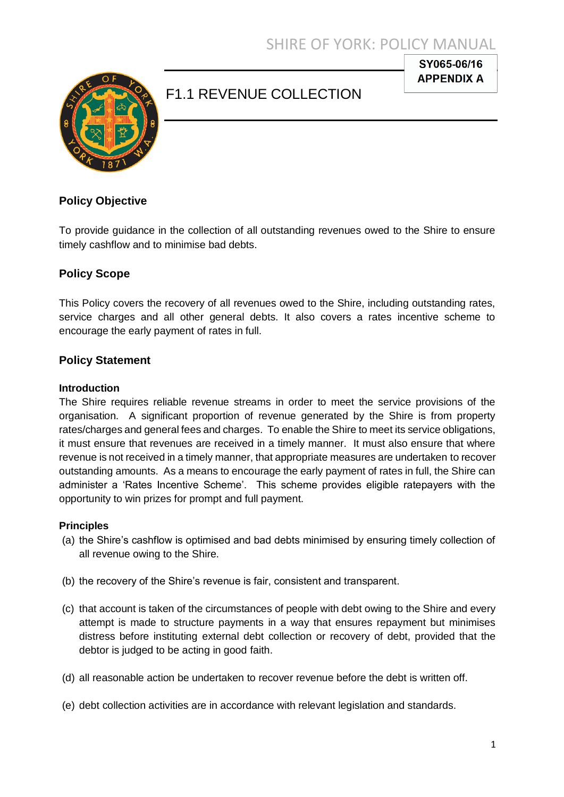

# F1.1 REVENUE COLLECTION

SY065-06/16 **APPENDIX A** 

# **Policy Objective**

To provide guidance in the collection of all outstanding revenues owed to the Shire to ensure timely cashflow and to minimise bad debts.

# **Policy Scope**

This Policy covers the recovery of all revenues owed to the Shire, including outstanding rates, service charges and all other general debts. It also covers a rates incentive scheme to encourage the early payment of rates in full.

### **Policy Statement**

#### **Introduction**

The Shire requires reliable revenue streams in order to meet the service provisions of the organisation. A significant proportion of revenue generated by the Shire is from property rates/charges and general fees and charges. To enable the Shire to meet its service obligations, it must ensure that revenues are received in a timely manner. It must also ensure that where revenue is not received in a timely manner, that appropriate measures are undertaken to recover outstanding amounts. As a means to encourage the early payment of rates in full, the Shire can administer a 'Rates Incentive Scheme'. This scheme provides eligible ratepayers with the opportunity to win prizes for prompt and full payment.

#### **Principles**

- (a) the Shire's cashflow is optimised and bad debts minimised by ensuring timely collection of all revenue owing to the Shire.
- (b) the recovery of the Shire's revenue is fair, consistent and transparent.
- (c) that account is taken of the circumstances of people with debt owing to the Shire and every attempt is made to structure payments in a way that ensures repayment but minimises distress before instituting external debt collection or recovery of debt, provided that the debtor is judged to be acting in good faith.
- (d) all reasonable action be undertaken to recover revenue before the debt is written off.
- (e) debt collection activities are in accordance with relevant legislation and standards.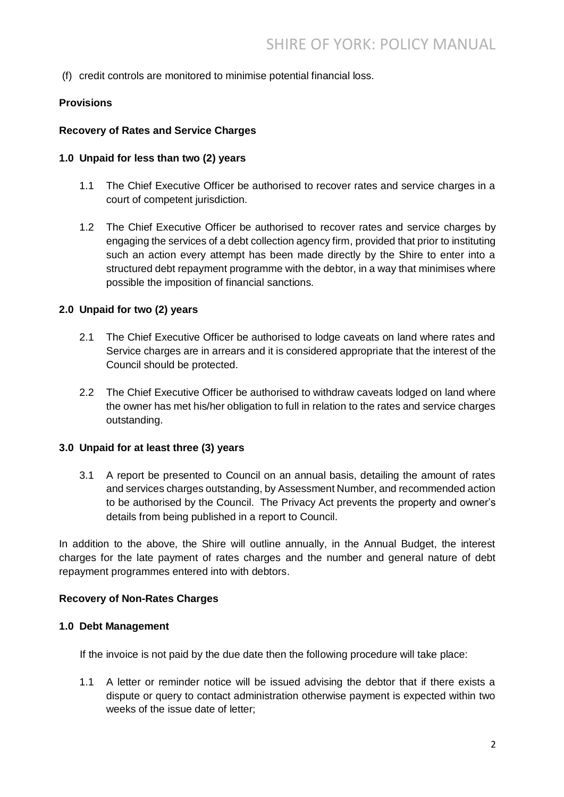(f) credit controls are monitored to minimise potential financial loss.

# **Provisions**

### **Recovery of Rates and Service Charges**

### **1.0 Unpaid for less than two (2) years**

- 1.1 The Chief Executive Officer be authorised to recover rates and service charges in a court of competent jurisdiction.
- 1.2 The Chief Executive Officer be authorised to recover rates and service charges by engaging the services of a debt collection agency firm, provided that prior to instituting such an action every attempt has been made directly by the Shire to enter into a structured debt repayment programme with the debtor, in a way that minimises where possible the imposition of financial sanctions.

### **2.0 Unpaid for two (2) years**

- 2.1 The Chief Executive Officer be authorised to lodge caveats on land where rates and Service charges are in arrears and it is considered appropriate that the interest of the Council should be protected.
- 2.2 The Chief Executive Officer be authorised to withdraw caveats lodged on land where the owner has met his/her obligation to full in relation to the rates and service charges outstanding.

#### **3.0 Unpaid for at least three (3) years**

3.1 A report be presented to Council on an annual basis, detailing the amount of rates and services charges outstanding, by Assessment Number, and recommended action to be authorised by the Council. The Privacy Act prevents the property and owner's details from being published in a report to Council.

In addition to the above, the Shire will outline annually, in the Annual Budget, the interest charges for the late payment of rates charges and the number and general nature of debt repayment programmes entered into with debtors.

#### **Recovery of Non-Rates Charges**

#### **1.0 Debt Management**

If the invoice is not paid by the due date then the following procedure will take place:

1.1 A letter or reminder notice will be issued advising the debtor that if there exists a dispute or query to contact administration otherwise payment is expected within two weeks of the issue date of letter;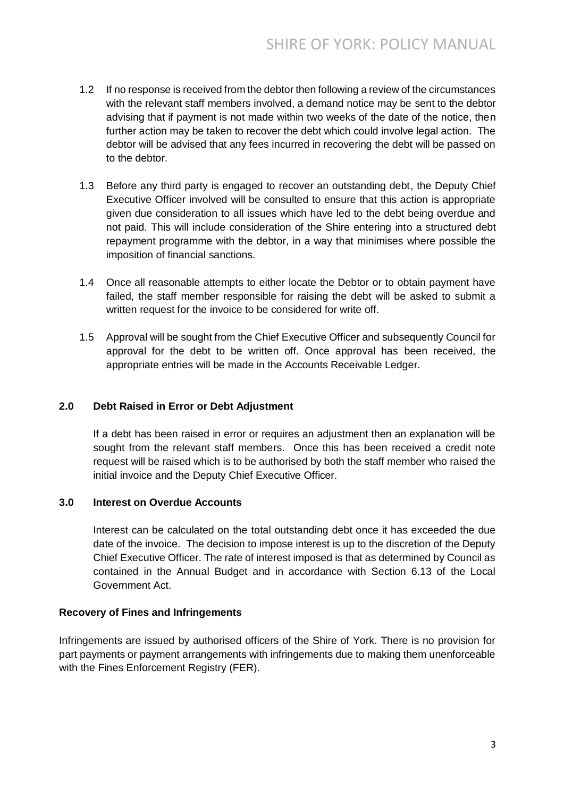- 1.2 If no response is received from the debtor then following a review of the circumstances with the relevant staff members involved, a demand notice may be sent to the debtor advising that if payment is not made within two weeks of the date of the notice, then further action may be taken to recover the debt which could involve legal action. The debtor will be advised that any fees incurred in recovering the debt will be passed on to the debtor.
- 1.3 Before any third party is engaged to recover an outstanding debt, the Deputy Chief Executive Officer involved will be consulted to ensure that this action is appropriate given due consideration to all issues which have led to the debt being overdue and not paid. This will include consideration of the Shire entering into a structured debt repayment programme with the debtor, in a way that minimises where possible the imposition of financial sanctions.
- 1.4 Once all reasonable attempts to either locate the Debtor or to obtain payment have failed, the staff member responsible for raising the debt will be asked to submit a written request for the invoice to be considered for write off.
- 1.5 Approval will be sought from the Chief Executive Officer and subsequently Council for approval for the debt to be written off. Once approval has been received, the appropriate entries will be made in the Accounts Receivable Ledger.

# **2.0 Debt Raised in Error or Debt Adjustment**

If a debt has been raised in error or requires an adjustment then an explanation will be sought from the relevant staff members. Once this has been received a credit note request will be raised which is to be authorised by both the staff member who raised the initial invoice and the Deputy Chief Executive Officer.

# **3.0 Interest on Overdue Accounts**

Interest can be calculated on the total outstanding debt once it has exceeded the due date of the invoice. The decision to impose interest is up to the discretion of the Deputy Chief Executive Officer. The rate of interest imposed is that as determined by Council as contained in the Annual Budget and in accordance with Section 6.13 of the Local Government Act.

# **Recovery of Fines and Infringements**

Infringements are issued by authorised officers of the Shire of York. There is no provision for part payments or payment arrangements with infringements due to making them unenforceable with the Fines Enforcement Registry (FER).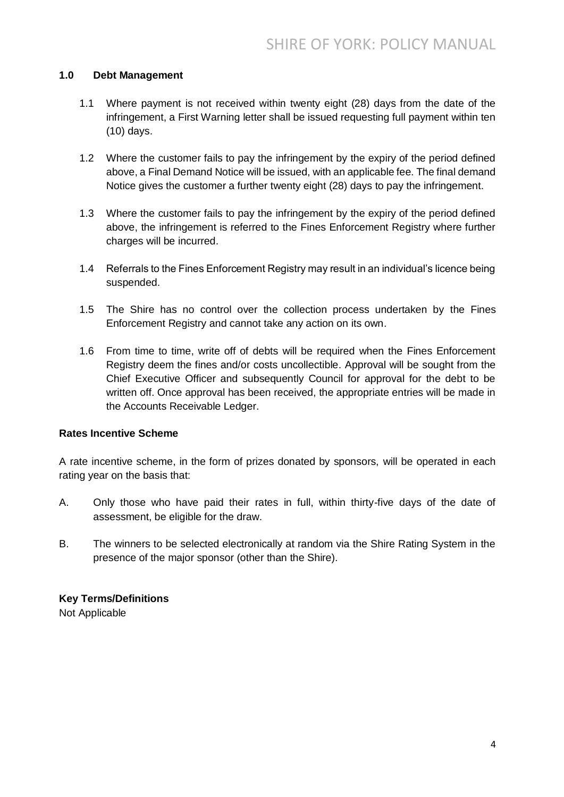### **1.0 Debt Management**

- 1.1 Where payment is not received within twenty eight (28) days from the date of the infringement, a First Warning letter shall be issued requesting full payment within ten (10) days.
- 1.2 Where the customer fails to pay the infringement by the expiry of the period defined above, a Final Demand Notice will be issued, with an applicable fee. The final demand Notice gives the customer a further twenty eight (28) days to pay the infringement.
- 1.3 Where the customer fails to pay the infringement by the expiry of the period defined above, the infringement is referred to the Fines Enforcement Registry where further charges will be incurred.
- 1.4 Referrals to the Fines Enforcement Registry may result in an individual's licence being suspended.
- 1.5 The Shire has no control over the collection process undertaken by the Fines Enforcement Registry and cannot take any action on its own.
- 1.6 From time to time, write off of debts will be required when the Fines Enforcement Registry deem the fines and/or costs uncollectible. Approval will be sought from the Chief Executive Officer and subsequently Council for approval for the debt to be written off. Once approval has been received, the appropriate entries will be made in the Accounts Receivable Ledger.

### **Rates Incentive Scheme**

A rate incentive scheme, in the form of prizes donated by sponsors, will be operated in each rating year on the basis that:

- A. Only those who have paid their rates in full, within thirty-five days of the date of assessment, be eligible for the draw.
- B. The winners to be selected electronically at random via the Shire Rating System in the presence of the major sponsor (other than the Shire).

# **Key Terms/Definitions**

Not Applicable